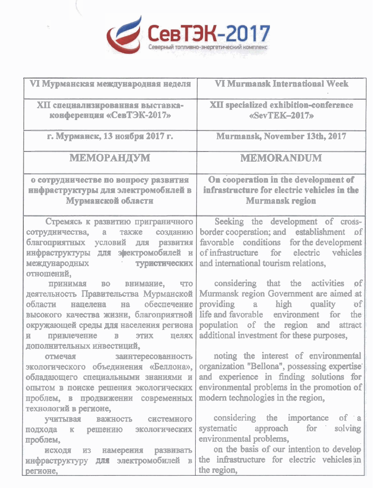

| VI Мурманская международная неделя                                                                                                                                                                                                                                                                                                           | <b>VI Murmansk International Week</b>                                                                                                                                                                                                                                                                                                                   |  |  |  |  |
|----------------------------------------------------------------------------------------------------------------------------------------------------------------------------------------------------------------------------------------------------------------------------------------------------------------------------------------------|---------------------------------------------------------------------------------------------------------------------------------------------------------------------------------------------------------------------------------------------------------------------------------------------------------------------------------------------------------|--|--|--|--|
| ХП специализированная выставка-                                                                                                                                                                                                                                                                                                              | <b>XII specialized exhibition-conference</b>                                                                                                                                                                                                                                                                                                            |  |  |  |  |
| конференция «СевТЭК-2017»                                                                                                                                                                                                                                                                                                                    | «SevTEK-2017»                                                                                                                                                                                                                                                                                                                                           |  |  |  |  |
| г. Мурманск, 13 ноября 2017 г.                                                                                                                                                                                                                                                                                                               | Murmansk, November 13th, 2017                                                                                                                                                                                                                                                                                                                           |  |  |  |  |
| <b>МЕМОРАНДУМ</b>                                                                                                                                                                                                                                                                                                                            | <b>MEMORANDUM</b>                                                                                                                                                                                                                                                                                                                                       |  |  |  |  |
| о сотрудничестве по вопросу развития<br>ннфраструктуры для электромобилей в<br>Мурманской области                                                                                                                                                                                                                                            | On cooperation in the development of<br>infrastructure for electric vehicles in the<br><b>Murmansk region</b>                                                                                                                                                                                                                                           |  |  |  |  |
| Стремясь к развитию приграничного<br>сотрудничества,<br>также<br>созданию<br>$\mathbf{a}$<br>благоприятных условий для<br>развития<br>инфраструктуры для энектромобилей и<br>международных<br>туристических<br>отношений,<br>принимая во внимание, что<br>деятельность Правительства Мурманской<br>обеспечение<br>области<br>нацелена<br>Ha. | Seeking the development of cross-<br>border cooperation; and establishment of<br>favorable conditions for the development<br>of infrastructure for<br>electric<br>vehicles<br>and international tourism relations,<br>considering that the activities<br> of <br>Murmansk region Government are aimed at<br>öf<br>providing<br>high<br>quality<br>$a -$ |  |  |  |  |
| высокого качества жизни, благоприятной<br>окружающей среды для населения региона<br>привлечение<br><b>STHE</b><br>$\overline{\mathbf{B}}$<br>целях<br>直.<br>дополнительных инвестиций,                                                                                                                                                       | life and favorable environment for<br>the<br>population of the region and attract<br>additional investment for these purposes,                                                                                                                                                                                                                          |  |  |  |  |
| отмечая заинтересованность<br>экологического объединения «Беллона»,<br>обладающего специальными знаниями и<br>опытом в поиске решения экологических  <br>проблем, в продвижении современных<br>технологий в регионе,                                                                                                                         | noting the interest of environmental<br>organization "Bellona", possessing expertise<br>and experience in finding solutions for<br>environmental problems in the promotion of<br>modern technologies in the region,                                                                                                                                     |  |  |  |  |
| <b>УЧИТЫВАЯ</b><br>важность системного<br>подхода к<br>решению экологических<br>проблем,<br>развивать<br>намерения<br>исходя из<br>инфраструктуру для электромобилей в<br>регионе,                                                                                                                                                           | considering the importance of a<br>for<br>solving<br>systematic<br>approach<br>environmental problems,<br>on the basis of our intention to develop<br>the infrastructure for electric vehicles in<br>the region,                                                                                                                                        |  |  |  |  |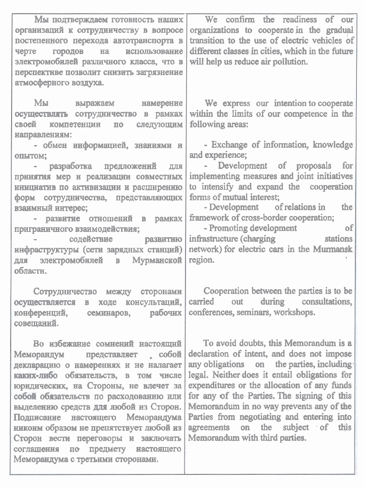| Мы подтверждаем готовность наших<br>организаций к сотрудничеству в вопросе<br>постепенного перехода автотранспорта в<br>черте городов на использование<br>электромобилей различного класса, что в<br>перспективе позволит снизить загрязнение<br>атмосферного воздуха.                                                                                                                                                                                                                            | We confirm the readiness of<br>our<br>organizations to cooperate in the gradual<br>transition to the use of electric vehicles of<br>different classes in cities, which in the future<br>will help us reduce air pollution.                                                                                                                                                                                                                          |
|---------------------------------------------------------------------------------------------------------------------------------------------------------------------------------------------------------------------------------------------------------------------------------------------------------------------------------------------------------------------------------------------------------------------------------------------------------------------------------------------------|-----------------------------------------------------------------------------------------------------------------------------------------------------------------------------------------------------------------------------------------------------------------------------------------------------------------------------------------------------------------------------------------------------------------------------------------------------|
| Мы выражаем намерение<br>осуществлять сотрудничество в рамках<br>следующим<br>своей компетенции по<br>направлениям:                                                                                                                                                                                                                                                                                                                                                                               | We express our intention to cooperate<br>within the limits of our competence in the<br>following areas:                                                                                                                                                                                                                                                                                                                                             |
| - обмен информацией, знаниями и<br>опытом;<br>разработка предложений для<br>принятия мер и реализации совместных<br>инициатив по активизации и расширению<br>форм сотрудничества, представляющих<br>взаимный интерес;<br>- развитие отношений в рамках<br>приграничного взаимодействия;<br>содействие развитию<br>инфраструктуры (сети зарядных станций)<br>для электромобилей в Мурманской<br>области.                                                                                           | - Exchange of information, knowledge<br>and experience;<br>- Development of proposals<br>for<br>implementing measures and joint initiatives<br>to intensify and expand the cooperation<br>forms of mutual interest:<br>- Development of relations in<br>the<br>framework of cross-border cooperation;<br>of<br>- Promoting development<br>infrastructure (charging stations<br>network) for electric cars in the Murmansk<br>region.                |
| Сотрудничество между сторонами<br>в ходе консультаций,<br>осуществляется<br>конференций, семинаров,<br>рабочих<br>совещаний.                                                                                                                                                                                                                                                                                                                                                                      | Cooperation between the parties is to be<br>carried<br>out<br>during<br>consultations,<br>conferences, seminars, workshops.                                                                                                                                                                                                                                                                                                                         |
| Во избежание сомнений настоящий<br>$\sim$ $\cos \theta$<br>Меморандум представляет<br>декларацию о намерениях и не налагает<br>каких-либо обязательств, в том числе<br>юридических, на Стороны, не влечет за<br>собой обязательств по расходованию или<br>выделению средств для любой из Сторон.<br>Подписание настоящего Меморандума<br>никоим образом не препятствует любой из<br>Сторон вести переговоры и заключать<br>соглашения по предмету настоящего<br>Меморандума с третьими сторонами. | To avoid doubts, this Memorandum is a<br>declaration of intent, and does not impose<br>any obligations on the parties, including<br>legal. Neither does it entail obligations for<br>expenditures or the allocation of any funds<br>for any of the Parties. The signing of this<br>Memorandum in no way prevents any of the<br>Parties from negotiating and entering into<br>agreements<br>on the subject of this<br>Memorandum with third parties. |